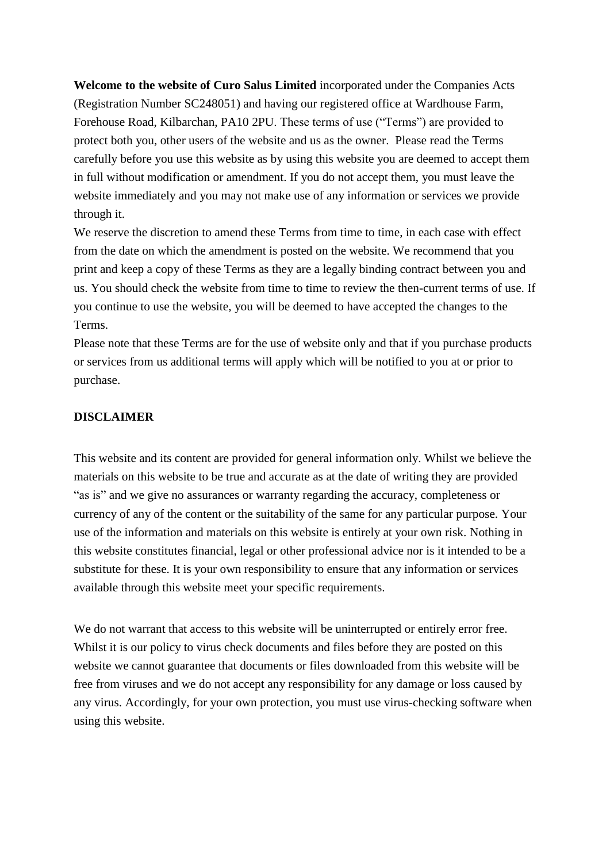**Welcome to the website of Curo Salus Limited** incorporated under the Companies Acts (Registration Number SC248051) and having our registered office at Wardhouse Farm, Forehouse Road, Kilbarchan, PA10 2PU. These terms of use ("Terms") are provided to protect both you, other users of the website and us as the owner. Please read the Terms carefully before you use this website as by using this website you are deemed to accept them in full without modification or amendment. If you do not accept them, you must leave the website immediately and you may not make use of any information or services we provide through it.

We reserve the discretion to amend these Terms from time to time, in each case with effect from the date on which the amendment is posted on the website. We recommend that you print and keep a copy of these Terms as they are a legally binding contract between you and us. You should check the website from time to time to review the then-current terms of use. If you continue to use the website, you will be deemed to have accepted the changes to the Terms.

Please note that these Terms are for the use of website only and that if you purchase products or services from us additional terms will apply which will be notified to you at or prior to purchase.

## **DISCLAIMER**

This website and its content are provided for general information only. Whilst we believe the materials on this website to be true and accurate as at the date of writing they are provided "as is" and we give no assurances or warranty regarding the accuracy, completeness or currency of any of the content or the suitability of the same for any particular purpose. Your use of the information and materials on this website is entirely at your own risk. Nothing in this website constitutes financial, legal or other professional advice nor is it intended to be a substitute for these. It is your own responsibility to ensure that any information or services available through this website meet your specific requirements.

We do not warrant that access to this website will be uninterrupted or entirely error free. Whilst it is our policy to virus check documents and files before they are posted on this website we cannot guarantee that documents or files downloaded from this website will be free from viruses and we do not accept any responsibility for any damage or loss caused by any virus. Accordingly, for your own protection, you must use virus-checking software when using this website.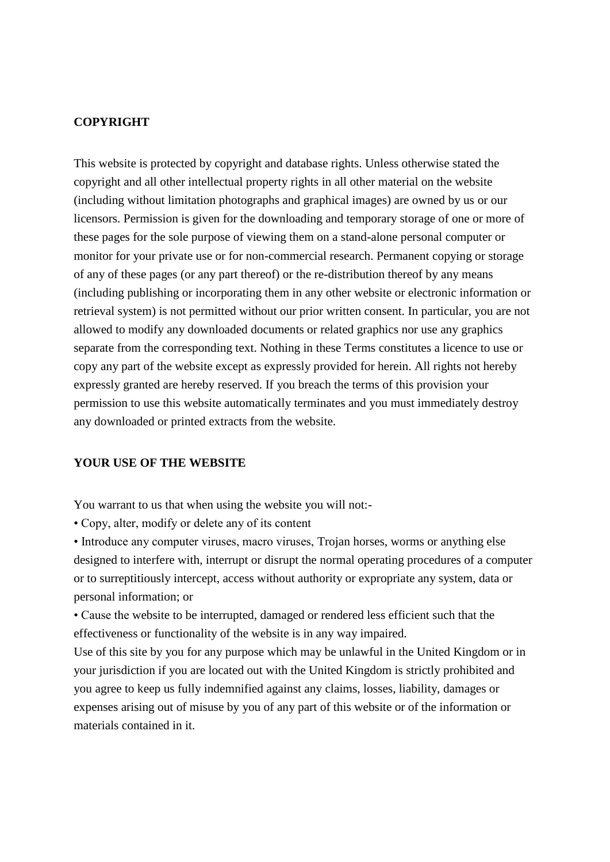#### **COPYRIGHT**

This website is protected by copyright and database rights. Unless otherwise stated the copyright and all other intellectual property rights in all other material on the website (including without limitation photographs and graphical images) are owned by us or our licensors. Permission is given for the downloading and temporary storage of one or more of these pages for the sole purpose of viewing them on a stand-alone personal computer or monitor for your private use or for non-commercial research. Permanent copying or storage of any of these pages (or any part thereof) or the re-distribution thereof by any means (including publishing or incorporating them in any other website or electronic information or retrieval system) is not permitted without our prior written consent. In particular, you are not allowed to modify any downloaded documents or related graphics nor use any graphics separate from the corresponding text. Nothing in these Terms constitutes a licence to use or copy any part of the website except as expressly provided for herein. All rights not hereby expressly granted are hereby reserved. If you breach the terms of this provision your permission to use this website automatically terminates and you must immediately destroy any downloaded or printed extracts from the website.

## **YOUR USE OF THE WEBSITE**

You warrant to us that when using the website you will not:-

• Copy, alter, modify or delete any of its content

• Introduce any computer viruses, macro viruses, Trojan horses, worms or anything else designed to interfere with, interrupt or disrupt the normal operating procedures of a computer or to surreptitiously intercept, access without authority or expropriate any system, data or personal information; or

• Cause the website to be interrupted, damaged or rendered less efficient such that the effectiveness or functionality of the website is in any way impaired.

Use of this site by you for any purpose which may be unlawful in the United Kingdom or in your jurisdiction if you are located out with the United Kingdom is strictly prohibited and you agree to keep us fully indemnified against any claims, losses, liability, damages or expenses arising out of misuse by you of any part of this website or of the information or materials contained in it.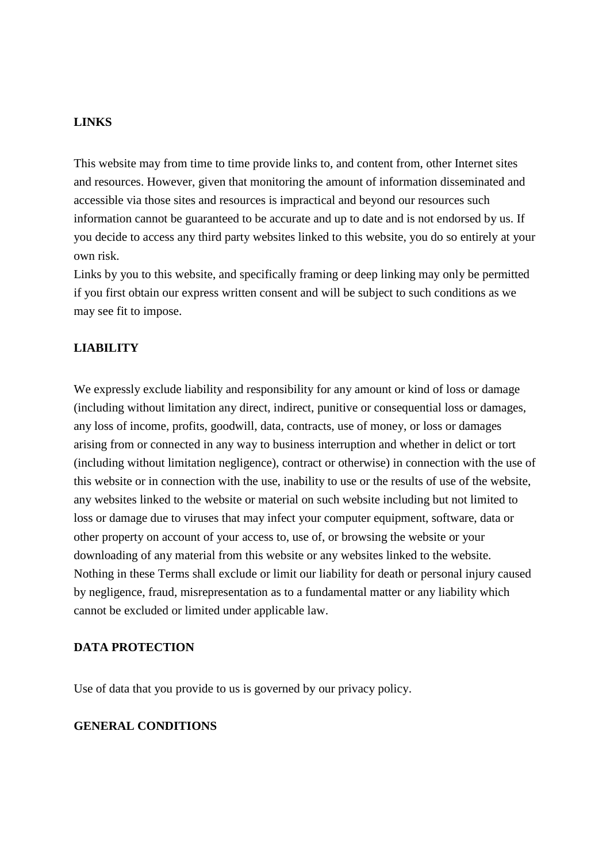#### **LINKS**

This website may from time to time provide links to, and content from, other Internet sites and resources. However, given that monitoring the amount of information disseminated and accessible via those sites and resources is impractical and beyond our resources such information cannot be guaranteed to be accurate and up to date and is not endorsed by us. If you decide to access any third party websites linked to this website, you do so entirely at your own risk.

Links by you to this website, and specifically framing or deep linking may only be permitted if you first obtain our express written consent and will be subject to such conditions as we may see fit to impose.

## **LIABILITY**

We expressly exclude liability and responsibility for any amount or kind of loss or damage (including without limitation any direct, indirect, punitive or consequential loss or damages, any loss of income, profits, goodwill, data, contracts, use of money, or loss or damages arising from or connected in any way to business interruption and whether in delict or tort (including without limitation negligence), contract or otherwise) in connection with the use of this website or in connection with the use, inability to use or the results of use of the website, any websites linked to the website or material on such website including but not limited to loss or damage due to viruses that may infect your computer equipment, software, data or other property on account of your access to, use of, or browsing the website or your downloading of any material from this website or any websites linked to the website. Nothing in these Terms shall exclude or limit our liability for death or personal injury caused by negligence, fraud, misrepresentation as to a fundamental matter or any liability which cannot be excluded or limited under applicable law.

## **DATA PROTECTION**

Use of data that you provide to us is governed by our [privacy policy.](http://aspirescotland.co.uk/www.aspirescotland.co.uk/privacypolicy.pdf)

#### **GENERAL CONDITIONS**